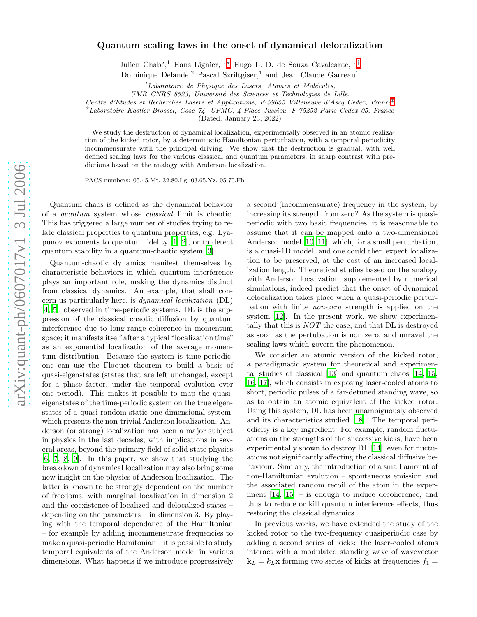## Quantum scaling laws in the onset of dynamical delocalization

Julien Chabé,<sup>1</sup> Hans Lignier,<sup>1,[∗](#page-3-0)</sup> Hugo L. D. de Souza Cavalcante,<sup>1,[†](#page-3-1)</sup>

Dominique Delande,<sup>2</sup> Pascal Szriftgiser,<sup>1</sup> and Jean Claude Garreau<sup>1</sup>

 ${}^{1}$ Laboratoire de Physique des Lasers, Atomes et Molécules,

UMR CNRS 8523, Université des Sciences et Technologies de Lille,

Centre d'Etudes et Recherches Lasers et Applications, F-59655 Villeneuve d'Ascq Cedex, France [‡](#page-3-2)

 ${}^{2}$ Laboratoire Kastler-Brossel, Case 74, UPMC, 4 Place Jussieu, F-75252 Paris Cedex 05, France

(Dated: January 23, 2022)

We study the destruction of dynamical localization, experimentally observed in an atomic realization of the kicked rotor, by a deterministic Hamiltonian perturbation, with a temporal periodicity incommensurate with the principal driving. We show that the destruction is gradual, with well defined scaling laws for the various classical and quantum parameters, in sharp contrast with predictions based on the analogy with Anderson localization.

PACS numbers: 05.45.Mt, 32.80.Lg, 03.65.Yz, 05.70.Fh

Quantum chaos is defined as the dynamical behavior of a quantum system whose classical limit is chaotic. This has triggered a large number of studies trying to relate classical properties to quantum properties, e.g. Lyapunov exponents to quantum fidelity [\[1](#page-3-3), [2\]](#page-3-4), or to detect quantum stability in a quantum-chaotic system [\[3\]](#page-3-5).

Quantum-chaotic dynamics manifest themselves by characteristic behaviors in which quantum interference plays an important role, making the dynamics distinct from classical dynamics. An example, that shall concern us particularly here, is dynamical localization (DL) [\[4,](#page-3-6) [5\]](#page-3-7), observed in time-periodic systems. DL is the suppression of the classical chaotic diffusion by quantum interference due to long-range coherence in momentum space; it manifests itself after a typical "localization time" as an exponential localization of the average momentum distribution. Because the system is time-periodic, one can use the Floquet theorem to build a basis of quasi-eigenstates (states that are left unchanged, except for a phase factor, under the temporal evolution over one period). This makes it possible to map the quasieigenstates of the time-periodic system on the true eigenstates of a quasi-random static one-dimensional system, which presents the non-trivial Anderson localization. Anderson (or strong) localization has been a major subject in physics in the last decades, with implications in several areas, beyond the primary field of solid state physics [\[6,](#page-3-8) [7](#page-3-9), [8,](#page-3-10) [9](#page-3-11)]. In this paper, we show that studying the breakdown of dynamical localization may also bring some new insight on the physics of Anderson localization. The latter is known to be strongly dependent on the number of freedoms, with marginal localization in dimension 2 and the coexistence of localized and delocalized states – depending on the parameters – in dimension 3. By playing with the temporal dependance of the Hamiltonian – for example by adding incommensurate frequencies to make a quasi-periodic Hamitonian – it is possible to study temporal equivalents of the Anderson model in various dimensions. What happens if we introduce progressively

a second (incommensurate) frequency in the system, by increasing its strength from zero? As the system is quasiperiodic with two basic frequencies, it is reasonnable to assume that it can be mapped onto a two-dimensional Anderson model [\[10,](#page-3-12) [11\]](#page-3-13), which, for a small perturbation, is a quasi-1D model, and one could then expect localization to be preserved, at the cost of an increased localization length. Theoretical studies based on the analogy with Anderson localization, supplemented by numerical simulations, indeed predict that the onset of dynamical delocalization takes place when a quasi-periodic perturbation with finite non-zero strength is applied on the system [\[12\]](#page-3-14). In the present work, we show experimentally that this is NOT the case, and that DL is destroyed as soon as the pertubation is non zero, and unravel the scaling laws which govern the phenomenon.

We consider an atomic version of the kicked rotor, a paradigmatic system for theoretical and experimental studies of classical [\[13](#page-3-15)] and quantum chaos [\[14](#page-3-16), [15](#page-3-17), [16](#page-3-18), [17](#page-3-19)], which consists in exposing laser-cooled atoms to short, periodic pulses of a far-detuned standing wave, so as to obtain an atomic equivalent of the kicked rotor. Using this system, DL has been unambiguously observed and its characteristics studied [\[18\]](#page-3-20). The temporal periodicity is a key ingredient. For example, random fluctuations on the strengths of the successive kicks, have been experimentally shown to destroy DL [\[14\]](#page-3-16), even for fluctuations not significantly affecting the classical diffusive behaviour. Similarly, the introduction of a small amount of non-Hamiltonian evolution – spontaneous emission and the associated random recoil of the atom in the experiment [\[14,](#page-3-16) [15\]](#page-3-17) – is enough to induce decoherence, and thus to reduce or kill quantum interference effects, thus restoring the classical dynamics.

In previous works, we have extended the study of the kicked rotor to the two-frequency quasiperiodic case by adding a second series of kicks: the laser-cooled atoms interact with a modulated standing wave of wavevector  $\mathbf{k}_L = k_L \mathbf{x}$  forming two series of kicks at frequencies  $f_1$  =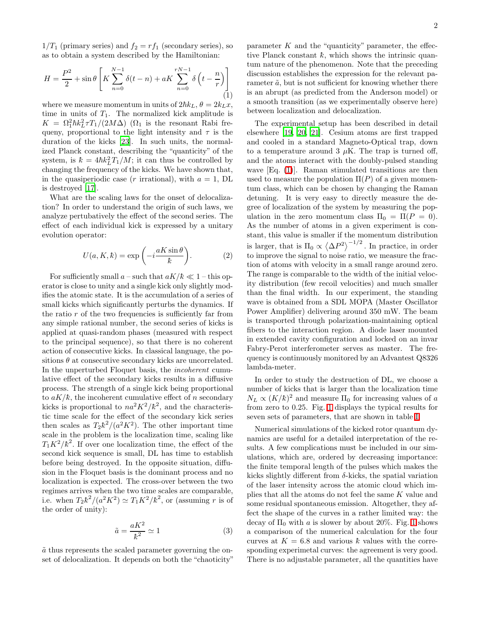$1/T_1$  (primary series) and  $f_2 = rf_1$  (secondary series), so as to obtain a system described by the Hamiltonian:

<span id="page-1-0"></span>
$$
H = \frac{P^2}{2} + \sin \theta \left[ K \sum_{n=0}^{N-1} \delta(t - n) + aK \sum_{n=0}^{rN-1} \delta \left( t - \frac{n}{r} \right) \right]
$$
(1)

where we measure momentum in units of  $2\hbar k_L$ ,  $\theta = 2k_Lx$ , time in units of  $T_1$ . The normalized kick amplitude is  $K = \Omega_1^2 \hbar k_L^2 \tau T_1/(2M\Delta)$  ( $\Omega_1$  is the resonant Rabi frequeny, proportional to the light intensity and  $\tau$  is the duration of the kicks [\[23\]](#page-3-21). In such units, the normalized Planck constant, describing the "quanticity" of the system, is  $k = 4\hbar k_L^2 T_1/M$ ; it can thus be controlled by changing the frequency of the kicks. We have shown that, in the quasiperiodic case (*r* irrational), with  $a = 1$ , DL is destroyed [\[17](#page-3-19)].

What are the scaling laws for the onset of delocalization? In order to understand the origin of such laws, we analyze pertubatively the effect of the second series. The effect of each individual kick is expressed by a unitary evolution operator:

$$
U(a, K, k) = \exp\left(-i\frac{aK\sin\theta}{k}\right).
$$
 (2)

For sufficiently small a – such that  $aK/\hbar \ll 1$  – this operator is close to unity and a single kick only slightly modifies the atomic state. It is the accumulation of a series of small kicks which significantly perturbs the dynamics. If the ratio  $r$  of the two frequencies is sufficiently far from any simple rational number, the second series of kicks is applied at quasi-random phases (measured with respect to the principal sequence), so that there is no coherent action of consecutive kicks. In classical language, the positions  $\theta$  at consecutive secondary kicks are uncorrelated. In the unperturbed Floquet basis, the incoherent cumulative effect of the secondary kicks results in a diffusive process. The strength of a single kick being proportional to  $aK/\hbar$ , the incoherent cumulative effect of n secondary kicks is proportional to  $na^2K^2/\hbar^2$ , and the characteristic time scale for the effect of the secondary kick series then scales as  $T_2 \hbar^2/(a^2 K^2)$ . The other important time scale in the problem is the localization time, scaling like  $T_1K^2/k^2$ . If over one localization time, the effect of the second kick sequence is small, DL has time to establish before being destroyed. In the opposite situation, diffusion in the Floquet basis is the dominant process and no localization is expected. The cross-over between the two regimes arrives when the two time scales are comparable, i.e. when  $T_2 \hbar^2 / (a^2 K^2) \simeq T_1 K^2 / \hbar^2$ , or (assuming r is of the order of unity):

$$
\tilde{a} = \frac{aK^2}{\hbar^2} \simeq 1\tag{3}
$$

<span id="page-1-1"></span> $\tilde{a}$  thus represents the scaled parameter governing the onset of delocalization. It depends on both the "chaoticity"

parameter  $K$  and the "quanticity" parameter, the effective Planck constant  $\bar{k}$ , which shows the intrinsic quantum nature of the phenomenon. Note that the preceding discussion establishes the expression for the relevant parameter  $\tilde{a}$ , but is not sufficient for knowing whether there is an abrupt (as predicted from the Anderson model) or a smooth transition (as we experimentally observe here) between localization and delocalization.

The experimental setup has been described in detail elsewhere [\[19](#page-3-22), [20](#page-3-23), [21\]](#page-3-24). Cesium atoms are first trapped and cooled in a standard Magneto-Optical trap, down to a temperature around 3  $\mu$ K. The trap is turned off, and the atoms interact with the doubly-pulsed standing wave [Eq. [\(1\)](#page-1-0)]. Raman stimulated transitions are then used to measure the population  $\Pi(P)$  of a given momentum class, which can be chosen by changing the Raman detuning. It is very easy to directly measure the degree of localization of the system by measuring the population in the zero momentum class  $\Pi_0 = \Pi(P = 0)$ . As the number of atoms in a given experiment is constant, this value is smaller if the momentum distribution is larger, that is  $\Pi_0 \propto \langle \Delta P^2 \rangle^{-1/2}$ . In practice, in order to improve the signal to noise ratio, we measure the fraction of atoms with velocity in a small range around zero. The range is comparable to the width of the initial velocity distribution (few recoil velocities) and much smaller than the final width. In our experiment, the standing wave is obtained from a SDL MOPA (Master Oscillator Power Amplifier) delivering around 350 mW. The beam is transported through polarization-maintaining optical fibers to the interaction region. A diode laser mounted in extended cavity configuration and locked on an invar Fabry-Perot interferometer serves as master. The frequency is continuously monitored by an Advantest Q8326 lambda-meter.

In order to study the destruction of DL, we choose a number of kicks that is larger than the localization time  $N_L \propto (K/\hbar)^2$  and measure  $\Pi_0$  for increasing values of a from zero to 0.25. Fig. [1](#page-2-0) displays the typical results for seven sets of parameters, that are shown in table [I.](#page-2-1)

Numerical simulations of the kicked rotor quantum dynamics are useful for a detailed interpretation of the results. A few complications must be included in our simulations, which are, ordered by decreasing importance: the finite temporal length of the pulses which makes the kicks slightly different from  $\delta$ -kicks, the spatial variation of the laser intensity across the atomic cloud which implies that all the atoms do not feel the same K value and some residual spontaneous emission. Altogether, they affect the shape of the curves in a rather limited way: the decay of  $\Pi_0$  with a is slower by about 20%. Fig. [1](#page-2-0) shows a comparison of the numerical calculation for the four curves at  $K = 6.8$  and various k values with the corresponding experimetal curves: the agreement is very good. There is no adjustable parameter, all the quantities have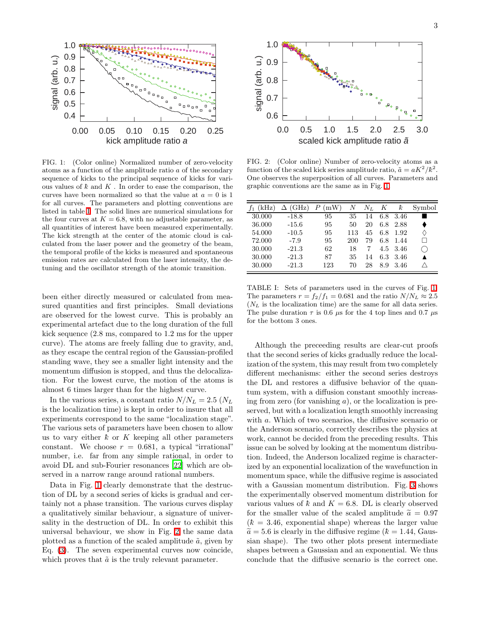

<span id="page-2-0"></span>FIG. 1: (Color online) Normalized number of zero-velocity atoms as a function of the amplitude ratio a of the secondary sequence of kicks to the principal sequence of kicks for various values of  $k$  and  $K$ . In order to ease the comparison, the curves have been normalized so that the value at  $a = 0$  is 1 for all curves. The parameters and plotting conventions are listed in table [I.](#page-2-1) The solid lines are numerical simulations for the four curves at  $K = 6.8$ , with no adjustable parameter, as all quantities of interest have been measured experimentally. The kick strength at the center of the atomic cloud is calculated from the laser power and the geometry of the beam, the temporal profile of the kicks is measured and spontaneous emission rates are calculated from the laser intensity, the detuning and the oscillator strength of the atomic transition.

been either directly measured or calculated from measured quantities and first principles. Small deviations are observed for the lowest curve. This is probably an experimental artefact due to the long duration of the full kick sequence (2.8 ms, compared to 1.2 ms for the upper curve). The atoms are freely falling due to gravity, and, as they escape the central region of the Gaussian-profiled standing wave, they see a smaller light intensity and the momentum diffusion is stopped, and thus the delocalization. For the lowest curve, the motion of the atoms is almost 6 times larger than for the highest curve.

In the various series, a constant ratio  $N/N_L = 2.5$  ( $N_L$ ) is the localization time) is kept in order to insure that all experiments correspond to the same "localization stage". The various sets of parameters have been chosen to allow us to vary either  $k$  or  $K$  keeping all other parameters constant. We choose  $r = 0.681$ , a typical "irrational" number, i.e. far from any simple rational, in order to avoid DL and sub-Fourier resonances [\[22](#page-3-25)] which are observed in a narrow range around rational numbers.

Data in Fig. [1](#page-2-0) clearly demonstrate that the destruction of DL by a second series of kicks is gradual and certainly not a phase transition. The various curves display a qualitatively similar behaviour, a signature of universality in the destruction of DL. In order to exhibit this universal behaviour, we show in Fig. [2](#page-2-2) the same data plotted as a function of the scaled amplitude  $\tilde{a}$ , given by Eq. [\(3\)](#page-1-1). The seven experimental curves now coincide, which proves that  $\tilde{a}$  is the truly relevant parameter.



<span id="page-2-2"></span>FIG. 2: (Color online) Number of zero-velocity atoms as a function of the scaled kick series amplitude ratio,  $\tilde{a} = aK^2/k^2$ . One observes the superposition of all curves. Parameters and graphic conventions are the same as in Fig. [1.](#page-2-0)

| (kHz)  | (GHz)   | (mW) | N   | $N_L$ | К   | k        | Symbol |
|--------|---------|------|-----|-------|-----|----------|--------|
| 30.000 | $-18.8$ | 95   | 35  | 14    | 6.8 | 3.46     |        |
| 36.000 | $-15.6$ | 95   | 50  | 20    | 6.8 | 2.88     |        |
| 54.000 | $-10.5$ | 95   | 113 | 45    | 6.8 | 1.92     | ♦      |
| 72.000 | $-7.9$  | 95   | 200 | 79    | 6.8 | 1.44     |        |
| 30.000 | $-21.3$ | 62   | 18  |       |     | 4.5 3.46 |        |
| 30.000 | $-21.3$ | 87   | 35  | 14    | 6.3 | 3.46     |        |
| 30.000 | $-21.3$ | 123  | 70  | 28    | 8.9 | 3.46     |        |

<span id="page-2-1"></span>TABLE I: Sets of parameters used in the curves of Fig. [1.](#page-2-0) The parameters  $r = f_2/f_1 = 0.681$  and the ratio  $N/N_L \approx 2.5$  $(N_L)$  is the localization time) are the same for all data series. The pulse duration  $\tau$  is 0.6  $\mu$ s for the 4 top lines and 0.7  $\mu$ s for the bottom 3 ones.

Although the preceeding results are clear-cut proofs that the second series of kicks gradually reduce the localization of the system, this may result from two completely different mechanisms: either the second series destroys the DL and restores a diffusive behavior of the quantum system, with a diffusion constant smoothly increasing from zero (for vanishing  $a$ ), or the localization is preserved, but with a localization length smoothly increasing with a. Which of two scenarios, the diffusive scenario or the Anderson scenario, correctly describes the physics at work, cannot be decided from the preceding results. This issue can be solved by looking at the momentum distribution. Indeed, the Anderson localized regime is characterized by an exponential localization of the wavefunction in momentum space, while the diffusive regime is associated with a Gaussian momentum distribution. Fig. [3](#page-3-26) shows the experimentally observed momentum distribution for various values of  $k$  and  $K = 6.8$ . DL is clearly observed for the smaller value of the scaled amplitude  $\tilde{a} = 0.97$  $(\bar{k} = 3.46,$  exponential shape) whereas the larger value  $\tilde{a} = 5.6$  is clearly in the diffusive regime ( $\tilde{k} = 1.44$ , Gaussian shape). The two other plots present intermediate shapes between a Gaussian and an exponential. We thus conclude that the diffusive scenario is the correct one.